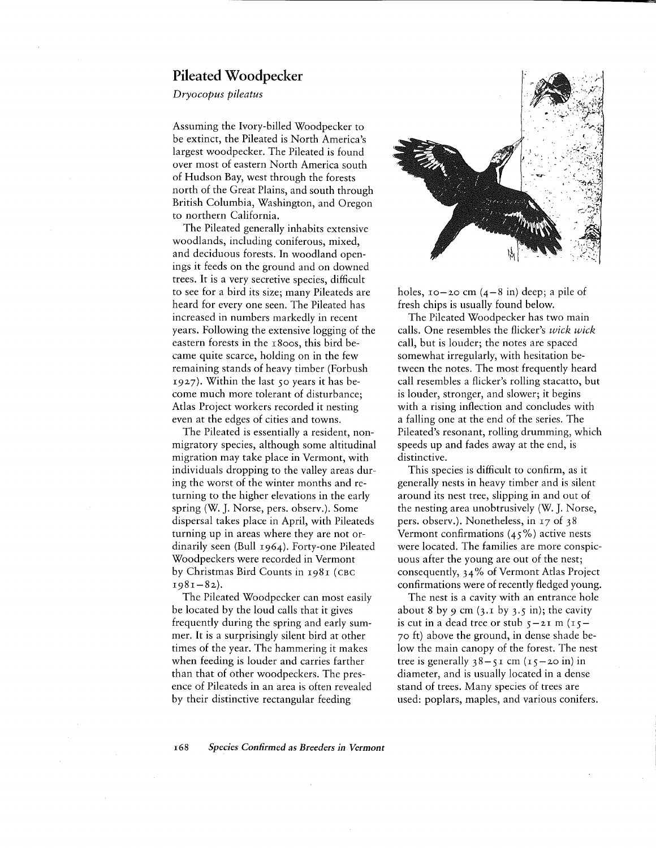## **Pileated Woodpecker**

*Dryocopus pileatus*

Assuming the Ivory-billed Woodpecker to be extinct, the Pileated is North America's largest woodpecker. The Pileated is found over most of eastern North America south of Hudson Bay, west through the forests north of the Great Plains, and south through British Columbia, Washington, and Oregon to northern California.

The Pileated generally inhabits extensive woodlands, including coniferous, mixed, and deciduous forests. In woodland openings it feeds on the ground and on downed trees. It is a very secretive species, difficult to see for a bird its size; many Pileateds are heard for every one seen. The Pileated has increased in numbers markedly in recent years. Following the extensive logging of the eastern forests in the 1800s, this bird became quite scarce, holding on in the few remaining stands of heavy timber (Forbush 1927). Within the last *so* years it has become much more tolerant of disturbance; Atlas Project workers recorded it nesting even at the edges of cities and towns.

The Pileated is essentially a resident, nonmigratory species, although some altitudinal migration may take place in Vermont, with individuals dropping to the valley areas during the worst of the winter months and returning to the higher elevations in the early spring (W. J. Norse, pers. observ.). Some dispersal takes place in April, with Pileateds turning up in areas where they are not ordinarily seen (Bull 1964). Forty-one Pileated Woodpeckers were recorded in Vermont by Christmas Bird Counts in 1981 (CBC  $1981 - 82$ ).

The Pileated Woodpecker can most easily be located by the loud calls that it gives frequently during the spring and early summer. It is a surprisingly silent bird at other times of the year. The hammering it makes when feeding is louder and carries farther than that of other woodpeckers. The presence of Pileateds in an area is often revealed by their distinctive rectangular feeding



holes,  $10-20$  cm  $(4-8$  in) deep; a pile of fresh chips is usually found below.

The Pileated Woodpecker has two main calls. One resembles the flicker's *wick wick* call, but is louder; the notes are spaced somewhat irregularly, with hesitation between the notes. The most frequently heard call resembles a flicker's rolling stacatto, but is louder, stronger, and slower; it begins with a rising inflection and concludes with a falling one at the end of the series. The Pileated's resonant, rolling drumming, which speeds up and fades away at the end, is distinctive.

This species is difficult to confirm, as it generally nests in heavy timber and is silent around its nest tree, slipping in and out of the nesting area unobtrusively (W. J. Norse, pers. observ.). Nonetheless, in 17 of 38 Vermont confirmations  $(45\%)$  active nests were located. The families are more conspicuous after the young are out of the nest; consequently, 34% of Vermont Atlas Project confirmations were of recently fledged young.

The nest is a cavity with an entrance hole about 8 by 9 cm (3.1 by *3.S* in); the cavity is cut in a dead tree or stub  $5-2I$  m  $(15-$ 70 ft) above the ground, in dense shade below the main canopy of the forest. The nest tree is generally  $38 - 51$  cm  $(15 - 20)$  in diameter, and is usually located in a dense stand of trees. Many species of trees are used: poplars, maples, and various conifers.

*168 Species Confirmed* as *Breeders in Vermont*